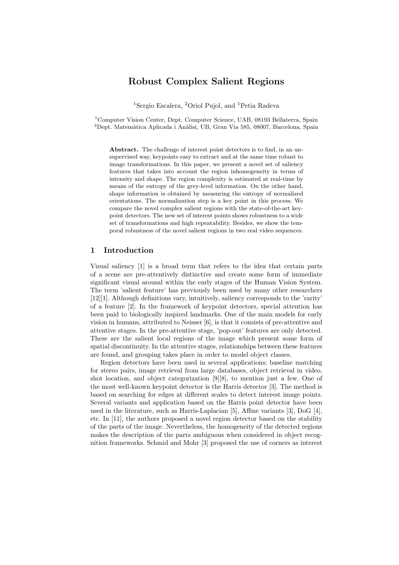# Robust Complex Salient Regions

<sup>1</sup>Sergio Escalera, <sup>2</sup>Oriol Pujol, and <sup>1</sup>Petia Radeva

<sup>1</sup>Computer Vision Center, Dept. Computer Science, UAB, 08193 Bellaterra, Spain  $^2$ Dept. Matemàtica Aplicada i Anàlisi, UB, Gran Via 585, 08007, Barcelona, Spain

Abstract. The challenge of interest point detectors is to find, in an unsupervised way, keypoints easy to extract and at the same time robust to image transformations. In this paper, we present a novel set of saliency features that takes into account the region inhomogeneity in terms of intensity and shape. The region complexity is estimated at real-time by means of the entropy of the grey-level information. On the other hand, shape information is obtained by measuring the entropy of normalized orientations. The normalization step is a key point in this process. We compare the novel complex salient regions with the state-of-the-art keypoint detectors. The new set of interest points shows robustness to a wide set of transformations and high repeatability. Besides, we show the temporal robustness of the novel salient regions in two real video sequences.

# 1 Introduction

Visual saliency [1] is a broad term that refers to the idea that certain parts of a scene are pre-attentively distinctive and create some form of immediate significant visual arousal within the early stages of the Human Vision System. The term 'salient feature' has previously been used by many other researchers [12][1]. Although definitions vary, intuitively, saliency corresponds to the 'rarity' of a feature [2]. In the framework of keypoint detectors, special attention has been paid to biologically inspired landmarks. One of the main models for early vision in humans, attributed to Neisser [6], is that it consists of pre-attentive and attentive stages. In the pre-attentive stage, 'pop-out' features are only detected. These are the salient local regions of the image which present some form of spatial discontinuity. In the attentive stages, relationships between these features are found, and grouping takes place in order to model object classes.

Region detectors have been used in several applications: baseline matching for stereo pairs, image retrieval from large databases, object retrieval in video, shot location, and object categorization [9][8], to mention just a few. One of the most well-known keypoint detector is the Harris detector [3]. The method is based on searching for edges at different scales to detect interest image points. Several variants and application based on the Harris point detector have been used in the literature, such as Harris-Laplacian [5], Affine variants [3], DoG [4], etc. In [11], the authors proposed a novel region detector based on the stability of the parts of the image. Nevertheless, the homogeneity of the detected regions makes the description of the parts ambiguous when considered in object recognition frameworks. Schmid and Mohr [3] proposed the use of corners as interest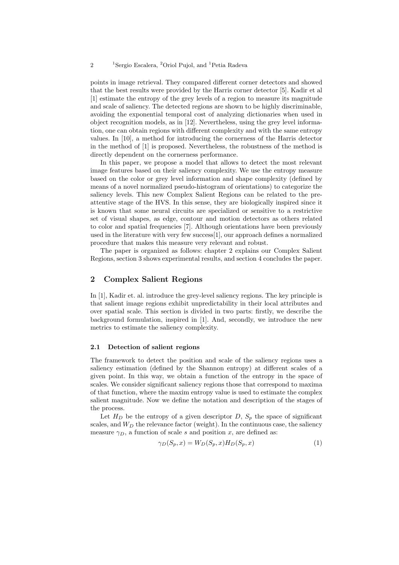points in image retrieval. They compared different corner detectors and showed that the best results were provided by the Harris corner detector [5]. Kadir et al [1] estimate the entropy of the grey levels of a region to measure its magnitude and scale of saliency. The detected regions are shown to be highly discriminable, avoiding the exponential temporal cost of analyzing dictionaries when used in object recognition models, as in [12]. Nevertheless, using the grey level information, one can obtain regions with different complexity and with the same entropy values. In [10], a method for introducing the cornerness of the Harris detector in the method of [1] is proposed. Nevertheless, the robustness of the method is directly dependent on the cornerness performance.

In this paper, we propose a model that allows to detect the most relevant image features based on their saliency complexity. We use the entropy measure based on the color or grey level information and shape complexity (defined by means of a novel normalized pseudo-histogram of orientations) to categorize the saliency levels. This new Complex Salient Regions can be related to the preattentive stage of the HVS. In this sense, they are biologically inspired since it is known that some neural circuits are specialized or sensitive to a restrictive set of visual shapes, as edge, contour and motion detectors as others related to color and spatial frequencies [7]. Although orientations have been previously used in the literature with very few success[1], our approach defines a normalized procedure that makes this measure very relevant and robust.

The paper is organized as follows: chapter 2 explains our Complex Salient Regions, section 3 shows experimental results, and section 4 concludes the paper.

# 2 Complex Salient Regions

In [1], Kadir et. al. introduce the grey-level saliency regions. The key principle is that salient image regions exhibit unpredictability in their local attributes and over spatial scale. This section is divided in two parts: firstly, we describe the background formulation, inspired in [1]. And, secondly, we introduce the new metrics to estimate the saliency complexity.

### 2.1 Detection of salient regions

The framework to detect the position and scale of the saliency regions uses a saliency estimation (defined by the Shannon entropy) at different scales of a given point. In this way, we obtain a function of the entropy in the space of scales. We consider significant saliency regions those that correspond to maxima of that function, where the maxim entropy value is used to estimate the complex salient magnitude. Now we define the notation and description of the stages of the process.

Let  $H_D$  be the entropy of a given descriptor D,  $S_p$  the space of significant scales, and  $W_D$  the relevance factor (weight). In the continuous case, the saliency measure  $\gamma_D$ , a function of scale s and position x, are defined as:

$$
\gamma_D(S_p, x) = W_D(S_p, x) H_D(S_p, x) \tag{1}
$$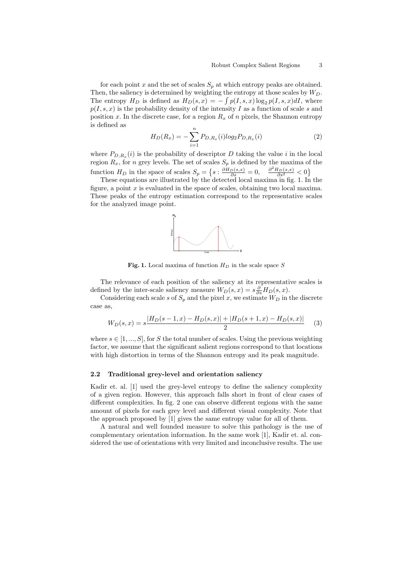for each point x and the set of scales  $S_p$  at which entropy peaks are obtained. Then, the saliency is determined by weighting the entropy at those scales by  $W_D$ . The entropy  $H_D$  is defined as  $H_D(s, x) = -\int p(I, s, x) \log_2 p(I, s, x) dI$ , where  $p(I, s, x)$  is the probability density of the intensity I as a function of scale s and position x. In the discrete case, for a region  $R<sub>x</sub>$  of n pixels, the Shannon entropy is defined as

$$
H_D(R_x) = -\sum_{i=1}^n P_{D,R_x}(i)log_2 P_{D,R_x}(i)
$$
\n(2)

where  $P_{D,R_x}(i)$  is the probability of descriptor D taking the value i in the local region  $R_x$ , for n grey levels. The set of scales  $S_p$  is defined by the maxima of the function  $H_D$  in the space of scales  $S_p =$ ©  $s: \frac{\partial H_D(s,x)}{\partial s} = 0, \quad \frac{\partial^2 H_D(s,x)}{\partial s^2} < 0$ ª

These equations are illustrated by the detected local maxima in fig. 1. In the figure, a point  $x$  is evaluated in the space of scales, obtaining two local maxima. These peaks of the entropy estimation correspond to the representative scales for the analyzed image point.



Fig. 1. Local maxima of function  $H_D$  in the scale space S

The relevance of each position of the saliency at its representative scales is defined by the inter-scale saliency measure  $W_D(s, x) = s \frac{\partial}{\partial s} H_D(s, x)$ .

Considering each scale s of  $S_p$  and the pixel x, we estimate  $W_D$  in the discrete case as,

$$
W_D(s,x) = s \frac{|H_D(s-1,x) - H_D(s,x)| + |H_D(s+1,x) - H_D(s,x)|}{2}
$$
 (3)

where  $s \in [1, ..., S]$ , for S the total number of scales. Using the previous weighting factor, we assume that the significant salient regions correspond to that locations with high distortion in terms of the Shannon entropy and its peak magnitude.

#### 2.2 Traditional grey-level and orientation saliency

Kadir et. al. [1] used the grey-level entropy to define the saliency complexity of a given region. However, this approach falls short in front of clear cases of different complexities. In fig. 2 one can observe different regions with the same amount of pixels for each grey level and different visual complexity. Note that the approach proposed by [1] gives the same entropy value for all of them.

A natural and well founded measure to solve this pathology is the use of complementary orientation information. In the same work [1], Kadir et. al. considered the use of orientations with very limited and inconclusive results. The use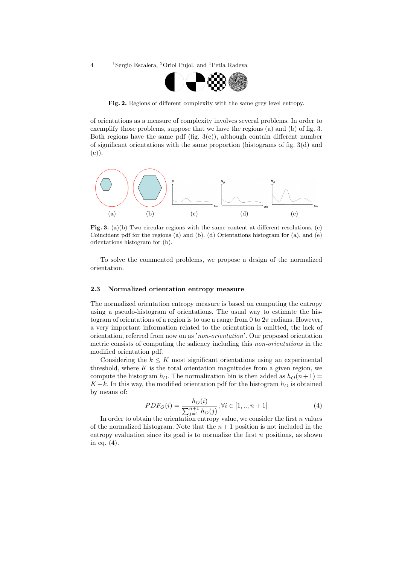<sup>1</sup>Sergio Escalera, <sup>2</sup>Oriol Pujol, and <sup>1</sup>Petia Radeva



Fig. 2. Regions of different complexity with the same grey level entropy.

of orientations as a measure of complexity involves several problems. In order to exemplify those problems, suppose that we have the regions (a) and (b) of fig. 3. Both regions have the same pdf (fig.  $3(c)$ ), although contain different number of significant orientations with the same proportion (histograms of fig. 3(d) and (e)).



Fig. 3. (a)(b) Two circular regions with the same content at different resolutions. (c) Coincident pdf for the regions (a) and (b). (d) Orientations histogram for (a), and (e) orientations histogram for (b).

To solve the commented problems, we propose a design of the normalized orientation.

#### 2.3 Normalized orientation entropy measure

The normalized orientation entropy measure is based on computing the entropy using a pseudo-histogram of orientations. The usual way to estimate the histogram of orientations of a region is to use a range from 0 to  $2\pi$  radians. However, a very important information related to the orientation is omitted, the lack of orientation, referred from now on as 'non-orientation'. Our proposed orientation metric consists of computing the saliency including this *non-orientations* in the modified orientation pdf.

Considering the  $k \leq K$  most significant orientations using an experimental threshold, where  $K$  is the total orientation magnitudes from a given region, we compute the histogram  $h<sub>O</sub>$ . The normalization bin is then added as  $h<sub>O</sub>(n+1) =$  $K - k$ . In this way, the modified orientation pdf for the histogram  $h<sub>O</sub>$  is obtained by means of:

$$
PDF_O(i) = \frac{h_O(i)}{\sum_{j=1}^{n+1} h_O(j)}, \forall i \in [1, ..., n+1]
$$
\n(4)

In order to obtain the orientation entropy value, we consider the first  $n$  values of the normalized histogram. Note that the  $n+1$  position is not included in the entropy evaluation since its goal is to normalize the first  $n$  positions, as shown in eq. (4).

4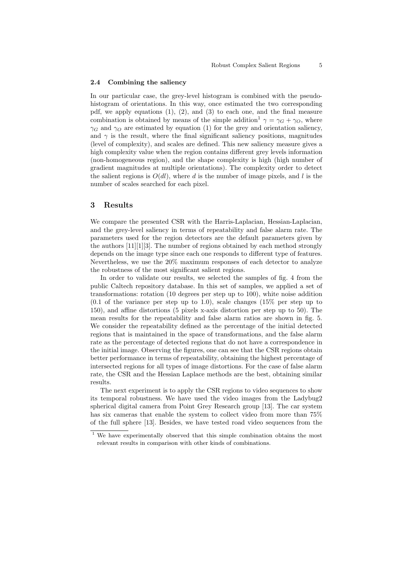#### 2.4 Combining the saliency

In our particular case, the grey-level histogram is combined with the pseudohistogram of orientations. In this way, once estimated the two corresponding pdf, we apply equations (1), (2), and (3) to each one, and the final measure combination is obtained by means of the simple addition<sup>1</sup>  $\gamma = \gamma_G + \gamma_O$ , where  $\gamma_G$  and  $\gamma_O$  are estimated by equation (1) for the grey and orientation saliency, and  $\gamma$  is the result, where the final significant saliency positions, magnitudes (level of complexity), and scales are defined. This new saliency measure gives a high complexity value when the region contains different grey levels information (non-homogeneous region), and the shape complexity is high (high number of gradient magnitudes at multiple orientations). The complexity order to detect the salient regions is  $O(dl)$ , where d is the number of image pixels, and l is the number of scales searched for each pixel.

## 3 Results

We compare the presented CSR with the Harris-Laplacian, Hessian-Laplacian, and the grey-level saliency in terms of repeatability and false alarm rate. The parameters used for the region detectors are the default parameters given by the authors [11][1][3]. The number of regions obtained by each method strongly depends on the image type since each one responds to different type of features. Nevertheless, we use the 20% maximum responses of each detector to analyze the robustness of the most significant salient regions.

In order to validate our results, we selected the samples of fig. 4 from the public Caltech repository database. In this set of samples, we applied a set of transformations: rotation (10 degrees per step up to 100), white noise addition  $(0.1 \text{ of the variance per step up to } 1.0)$ , scale changes  $(15\% \text{ per step up to } 1.0)$ 150), and affine distortions (5 pixels x-axis distortion per step up to 50). The mean results for the repeatability and false alarm ratios are shown in fig. 5. We consider the repeatability defined as the percentage of the initial detected regions that is maintained in the space of transformations, and the false alarm rate as the percentage of detected regions that do not have a correspondence in the initial image. Observing the figures, one can see that the CSR regions obtain better performance in terms of repeatability, obtaining the highest percentage of intersected regions for all types of image distortions. For the case of false alarm rate, the CSR and the Hessian Laplace methods are the best, obtaining similar results.

The next experiment is to apply the CSR regions to video sequences to show its temporal robustness. We have used the video images from the Ladybug2 spherical digital camera from Point Grey Research group [13]. The car system has six cameras that enable the system to collect video from more than 75% of the full sphere [13]. Besides, we have tested road video sequences from the

<sup>&</sup>lt;sup>1</sup> We have experimentally observed that this simple combination obtains the most relevant results in comparison with other kinds of combinations.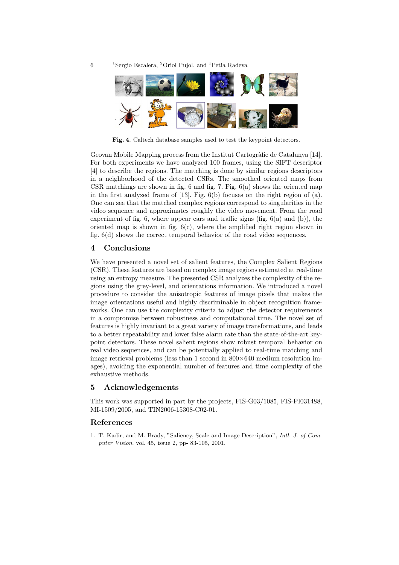

Fig. 4. Caltech database samples used to test the keypoint detectors.

Geovan Mobile Mapping process from the Institut Cartogràfic de Catalunya [14]. For both experiments we have analyzed 100 frames, using the SIFT descriptor [4] to describe the regions. The matching is done by similar regions descriptors in a neighborhood of the detected CSRs. The smoothed oriented maps from CSR matchings are shown in fig.  $6$  and fig.  $7$ . Fig.  $6(a)$  shows the oriented map in the first analyzed frame of [13]. Fig. 6(b) focuses on the right region of (a). One can see that the matched complex regions correspond to singularities in the video sequence and approximates roughly the video movement. From the road experiment of fig. 6, where appear cars and traffic signs (fig.  $6(a)$  and (b)), the oriented map is shown in fig.  $6(c)$ , where the amplified right region shown in fig. 6(d) shows the correct temporal behavior of the road video sequences.

### 4 Conclusions

6

We have presented a novel set of salient features, the Complex Salient Regions (CSR). These features are based on complex image regions estimated at real-time using an entropy measure. The presented CSR analyzes the complexity of the regions using the grey-level, and orientations information. We introduced a novel procedure to consider the anisotropic features of image pixels that makes the image orientations useful and highly discriminable in object recognition frameworks. One can use the complexity criteria to adjust the detector requirements in a compromise between robustness and computational time. The novel set of features is highly invariant to a great variety of image transformations, and leads to a better repeatability and lower false alarm rate than the state-of-the-art keypoint detectors. These novel salient regions show robust temporal behavior on real video sequences, and can be potentially applied to real-time matching and image retrieval problems (less than 1 second in  $800\times640$  medium resolution images), avoiding the exponential number of features and time complexity of the exhaustive methods.

## 5 Acknowledgements

This work was supported in part by the projects, FIS-G03/1085, FIS-PI031488, MI-1509/2005, and TIN2006-15308-C02-01.

# References

1. T. Kadir, and M. Brady, "Saliency, Scale and Image Description", Intl. J. of Computer Vision, vol. 45, issue 2, pp- 83-105, 2001.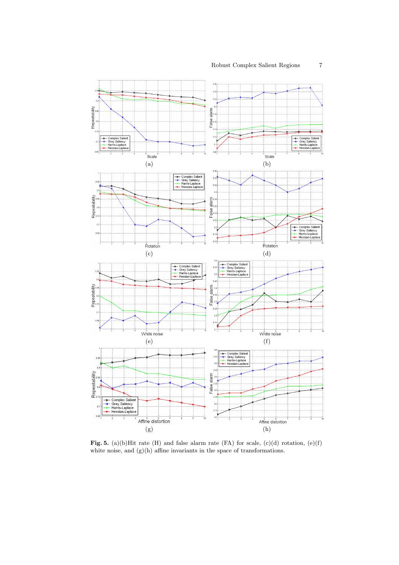

Fig. 5. (a)(b)Hit rate (H) and false alarm rate (FA) for scale, (c)(d) rotation, (e)(f) white noise, and  $(g)(h)$  affine invariants in the space of transformations.